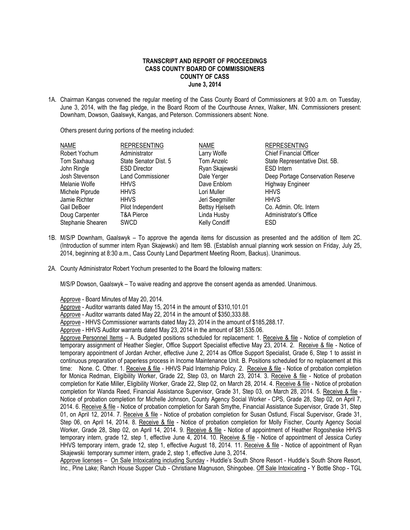## **TRANSCRIPT AND REPORT OF PROCEEDINGS CASS COUNTY BOARD OF COMMISSIONERS COUNTY OF CASS June 3, 2014**

1A. Chairman Kangas convened the regular meeting of the Cass County Board of Commissioners at 9:00 a.m. on Tuesday, June 3, 2014, with the flag pledge, in the Board Room of the Courthouse Annex, Walker, MN. Commissioners present: Downham, Dowson, Gaalswyk, Kangas, and Peterson. Commissioners absent: None.

Others present during portions of the meeting included:

| Deep Portage Conservation Reserve |
|-----------------------------------|
|                                   |
|                                   |
|                                   |
|                                   |
|                                   |
|                                   |
|                                   |

- 1B. M/S/P Downham, Gaalswyk To approve the agenda items for discussion as presented and the addition of Item 2C. (Introduction of summer intern Ryan Skajewski) and Item 9B. (Establish annual planning work session on Friday, July 25, 2014, beginning at 8:30 a.m., Cass County Land Department Meeting Room, Backus). Unanimous.
- 2A. County Administrator Robert Yochum presented to the Board the following matters:

M/S/P Dowson, Gaalswyk – To waive reading and approve the consent agenda as amended. Unanimous.

Approve - Board Minutes of May 20, 2014.

Approve - Auditor warrants dated May 15, 2014 in the amount of \$310,101.01

Approve - Auditor warrants dated May 22, 2014 in the amount of \$350,333.88.

Approve - HHVS Commissioner warrants dated May 23, 2014 in the amount of \$185,288.17.

Approve - HHVS Auditor warrants dated May 23, 2014 in the amount of \$81,535.06.

Approve Personnel Items – A. Budgeted positions scheduled for replacement: 1. Receive & file - Notice of completion of temporary assignment of Heather Siegler, Office Support Specialist effective May 23, 2014. 2. Receive & file - Notice of temporary appointment of Jordan Archer, effective June 2, 2014 as Office Support Specialist, Grade 6, Step 1 to assist in continuous preparation of paperless process in Income Maintenance Unit. B. Positions scheduled for no replacement at this time: None. C. Other. 1. Receive & file - HHVS Paid Internship Policy. 2. Receive & file - Notice of probation completion for Monica Redman, Eligibility Worker, Grade 22, Step 03, on March 23, 2014. 3. Receive & file - Notice of probation completion for Katie Miller, Eligibility Worker, Grade 22, Step 02, on March 28, 2014. 4. Receive & file - Notice of probation completion for Wanda Reed, Financial Assistance Supervisor, Grade 31, Step 03, on March 28, 2014. 5. Receive & file - Notice of probation completion for Michelle Johnson, County Agency Social Worker - CPS, Grade 28, Step 02, on April 7, 2014. 6. Receive & file - Notice of probation completion for Sarah Smythe, Financial Assistance Supervisor, Grade 31, Step 01, on April 12, 2014. 7. Receive & file - Notice of probation completion for Susan Ostlund, Fiscal Supervisor, Grade 31, Step 06, on April 14, 2014. 8. Receive & file - Notice of probation completion for Molly Fischer, County Agency Social Worker, Grade 28, Step 02, on April 14, 2014. 9. Receive & file - Notice of appointment of Heather Rogosheske HHVS temporary intern, grade 12, step 1, effective June 4, 2014. 10. Receive & file - Notice of appointment of Jessica Curley HHVS temporary intern, grade 12, step 1, effective August 18, 2014. 11. Receive & file - Notice of appointment of Ryan Skajewski temporary summer intern, grade 2, step 1, effective June 3, 2014.

Approve licenses - On Sale Intoxicating including Sunday - Huddle's South Shore Resort - Huddle's South Shore Resort, Inc., Pine Lake; Ranch House Supper Club - Christiane Magnuson, Shingobee. Off Sale Intoxicating - Y Bottle Shop - TGL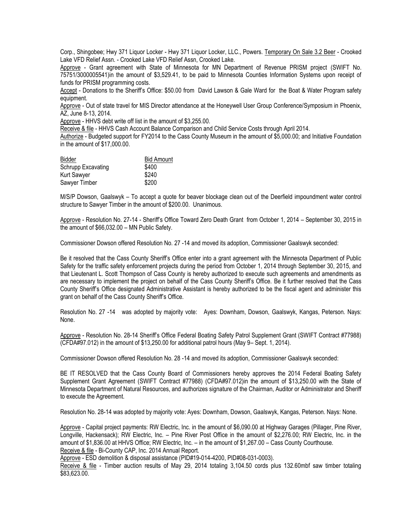Corp., Shingobee; Hwy 371 Liquor Locker - Hwy 371 Liquor Locker, LLC., Powers. Temporary On Sale 3.2 Beer - Crooked Lake VFD Relief Assn. - Crooked Lake VFD Relief Assn, Crooked Lake.

Approve - Grant agreement with State of Minnesota for MN Department of Revenue PRISM project (SWIFT No. 75751/3000005541)in the amount of \$3,529.41, to be paid to Minnesota Counties Information Systems upon receipt of funds for PRISM programming costs.

Accept - Donations to the Sheriff's Office: \$50.00 from David Lawson & Gale Ward for the Boat & Water Program safety equipment.

Approve - Out of state travel for MIS Director attendance at the Honeywell User Group Conference/Symposium in Phoenix, AZ, June 8-13, 2014.

Approve - HHVS debt write off list in the amount of \$3,255.00.

Receive & file - HHVS Cash Account Balance Comparison and Child Service Costs through April 2014.

Authorize - Budgeted support for FY2014 to the Cass County Museum in the amount of \$5,000.00; and Initiative Foundation in the amount of \$17,000.00.

| Bidder             | <b>Bid Amount</b> |
|--------------------|-------------------|
| Schrupp Excavating | \$400             |
| Kurt Sawyer        | \$240             |
| Sawyer Timber      | \$200             |

M/S/P Dowson, Gaalswyk – To accept a quote for beaver blockage clean out of the Deerfield impoundment water control structure to Sawyer Timber in the amount of \$200.00. Unanimous.

Approve - Resolution No. 27-14 - Sheriff's Office Toward Zero Death Grant from October 1, 2014 – September 30, 2015 in the amount of \$66,032.00 – MN Public Safety.

Commissioner Dowson offered Resolution No. 27 -14 and moved its adoption, Commissioner Gaalswyk seconded:

Be it resolved that the Cass County Sheriff's Office enter into a grant agreement with the Minnesota Department of Public Safety for the traffic safety enforcement projects during the period from October 1, 2014 through September 30, 2015, and that Lieutenant L. Scott Thompson of Cass County is hereby authorized to execute such agreements and amendments as are necessary to implement the project on behalf of the Cass County Sheriff's Office. Be it further resolved that the Cass County Sheriff's Office designated Administrative Assistant is hereby authorized to be the fiscal agent and administer this grant on behalf of the Cass County Sheriff's Office.

Resolution No. 27 -14 was adopted by majority vote: Ayes: Downham, Dowson, Gaalswyk, Kangas, Peterson. Nays: None.

Approve - Resolution No. 28-14 Sheriff's Office Federal Boating Safety Patrol Supplement Grant (SWIFT Contract #77988) (CFDA#97.012) in the amount of \$13,250.00 for additional patrol hours (May 9– Sept. 1, 2014).

Commissioner Dowson offered Resolution No. 28 -14 and moved its adoption, Commissioner Gaalswyk seconded:

BE IT RESOLVED that the Cass County Board of Commissioners hereby approves the 2014 Federal Boating Safety Supplement Grant Agreement (SWIFT Contract #77988) (CFDA#97.012)in the amount of \$13,250.00 with the State of Minnesota Department of Natural Resources, and authorizes signature of the Chairman, Auditor or Administrator and Sheriff to execute the Agreement.

Resolution No. 28-14 was adopted by majority vote: Ayes: Downham, Dowson, Gaalswyk, Kangas, Peterson. Nays: None.

Approve - Capital project payments: RW Electric, Inc. in the amount of \$6,090.00 at Highway Garages (Pillager, Pine River, Longville, Hackensack); RW Electric, Inc. – Pine River Post Office in the amount of \$2,276.00; RW Electric, Inc. in the amount of \$1,836.00 at HHVS Office; RW Electric, Inc. – in the amount of \$1,267.00 – Cass County Courthouse. Receive & file - Bi-County CAP, Inc. 2014 Annual Report.

Approve - ESD demolition & disposal assistance (PID#19-014-4200, PID#08-031-0003).

Receive & file - Timber auction results of May 29, 2014 totaling 3,104.50 cords plus 132.60mbf saw timber totaling \$83,623.00.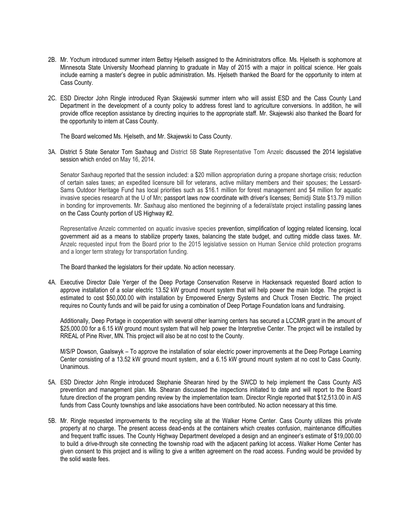- 2B. Mr. Yochum introduced summer intern Bettsy Hjelseth assigned to the Administrators office. Ms. Hjelseth is sophomore at Minnesota State University Moorhead planning to graduate in May of 2015 with a major in political science. Her goals include earning a master's degree in public administration. Ms. Hjelseth thanked the Board for the opportunity to intern at Cass County.
- 2C. ESD Director John Ringle introduced Ryan Skajewski summer intern who will assist ESD and the Cass County Land Department in the development of a county policy to address forest land to agriculture conversions. In addition, he will provide office reception assistance by directing inquiries to the appropriate staff. Mr. Skajewski also thanked the Board for the opportunity to intern at Cass County.

The Board welcomed Ms. Hjelseth, and Mr. Skajewski to Cass County.

3A. District 5 State Senator Tom Saxhaug and District 5B State Representative Tom Anzelc discussed the 2014 legislative session which ended on May 16, 2014.

Senator Saxhaug reported that the session included: a \$20 million appropriation during a propane shortage crisis; reduction of certain sales taxes; an expedited licensure bill for veterans, active military members and their spouses; the Lessard-Sams Outdoor Heritage Fund has local priorities such as \$16.1 million for forest management and \$4 million for aquatic invasive species research at the U of Mn; passport laws now coordinate with driver's licenses; Bemidji State \$13.79 million in bonding for improvements. Mr. Saxhaug also mentioned the beginning of a federal/state project installing passing lanes on the Cass County portion of US Highway #2.

Representative Anzelc commented on aquatic invasive species prevention, simplification of logging related licensing, local government aid as a means to stabilize property taxes, balancing the state budget, and cutting middle class taxes. Mr. Anzelc requested input from the Board prior to the 2015 legislative session on Human Service child protection programs and a longer term strategy for transportation funding.

The Board thanked the legislators for their update. No action necessary.

4A. Executive Director Dale Yerger of the Deep Portage Conservation Reserve in Hackensack requested Board action to approve installation of a solar electric 13.52 kW ground mount system that will help power the main lodge. The project is estimated to cost \$50,000.00 with installation by Empowered Energy Systems and Chuck Trosen Electric. The project requires no County funds and will be paid for using a combination of Deep Portage Foundation loans and fundraising.

Additionally, Deep Portage in cooperation with several other learning centers has secured a LCCMR grant in the amount of \$25,000.00 for a 6.15 kW ground mount system that will help power the Interpretive Center. The project will be installed by RREAL of Pine River, MN. This project will also be at no cost to the County.

M/S/P Dowson, Gaalswyk – To approve the installation of solar electric power improvements at the Deep Portage Learning Center consisting of a 13.52 kW ground mount system, and a 6.15 kW ground mount system at no cost to Cass County. Unanimous.

- 5A. ESD Director John Ringle introduced Stephanie Shearan hired by the SWCD to help implement the Cass County AIS prevention and management plan. Ms. Shearan discussed the inspections initiated to date and will report to the Board future direction of the program pending review by the implementation team. Director Ringle reported that \$12,513.00 in AIS funds from Cass County townships and lake associations have been contributed. No action necessary at this time.
- 5B. Mr. Ringle requested improvements to the recycling site at the Walker Home Center. Cass County utilizes this private property at no charge. The present access dead-ends at the containers which creates confusion, maintenance difficulties and frequent traffic issues. The County Highway Department developed a design and an engineer's estimate of \$19,000.00 to build a drive-through site connecting the township road with the adjacent parking lot access. Walker Home Center has given consent to this project and is willing to give a written agreement on the road access. Funding would be provided by the solid waste fees.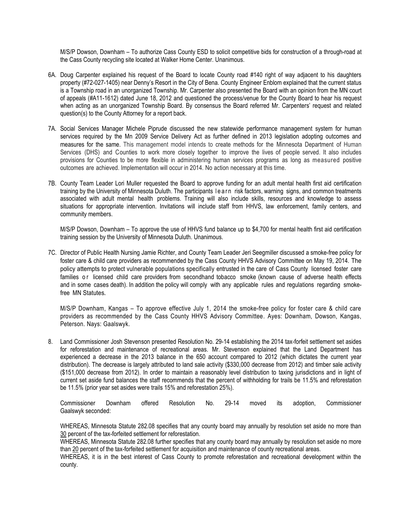M/S/P Dowson, Downham – To authorize Cass County ESD to solicit competitive bids for construction of a through-road at the Cass County recycling site located at Walker Home Center. Unanimous.

- 6A. Doug Carpenter explained his request of the Board to locate County road #140 right of way adjacent to his daughters property (#72-027-1405) near Denny's Resort in the City of Bena. County Engineer Enblom explained that the current status is a Township road in an unorganized Township. Mr. Carpenter also presented the Board with an opinion from the MN court of appeals (#A11-1612) dated June 18, 2012 and questioned the process/venue for the County Board to hear his request when acting as an unorganized Township Board. By consensus the Board referred Mr. Carpenters' request and related question(s) to the County Attorney for a report back.
- 7A. Social Services Manager Michele Piprude discussed the new statewide performance management system for human services required by the Mn 2009 Service Delivery Act as further defined in 2013 legislation adopting outcomes and measures for the same. This management model intends to create methods for the Minnesota Department of Human Services (DHS) and Counties to work more closely together to improve the lives of people served. It also includes provisions for Counties to be more flexible in administering human services programs as long as measured positive outcomes are achieved. Implementation will occur in 2014. No action necessary at this time.
- 7B. County Team Leader Lori Muller requested the Board to approve funding for an adult mental health first aid certification training by the University of Minnesota Duluth. The participants learn risk factors, warning signs, and common treatments associated with adult mental health problems. Training will also include skills, resources and knowledge to assess situations for appropriate intervention. Invitations will include staff from HHVS, law enforcement, family centers, and community members.

M/S/P Dowson, Downham – To approve the use of HHVS fund balance up to \$4,700 for mental health first aid certification training session by the University of Minnesota Duluth. Unanimous.

7C. Director of Public Health Nursing Jamie Richter, and County Team Leader Jeri Seegmiller discussed a smoke-free policy for foster care & child care providers as recommended by the Cass County HHVS Advisory Committee on May 19, 2014. The policy attempts to protect vulnerable populations specifically entrusted in the care of Cass County licensed foster care families or licensed child care providers from secondhand tobacco smoke (known cause of adverse health effects and in some cases death). In addition the policy will comply with any applicable rules and regulations regarding smokefree MN Statutes.

M/S/P Downham, Kangas – To approve effective July 1, 2014 the smoke-free policy for foster care & child care providers as recommended by the Cass County HHVS Advisory Committee. Ayes: Downham, Dowson, Kangas, Peterson. Nays: Gaalswyk.

8. Land Commissioner Josh Stevenson presented Resolution No. 29-14 establishing the 2014 tax-forfeit settlement set asides for reforestation and maintenance of recreational areas. Mr. Stevenson explained that the Land Department has experienced a decrease in the 2013 balance in the 650 account compared to 2012 (which dictates the current year distribution). The decrease is largely attributed to land sale activity (\$330,000 decrease from 2012) and timber sale activity (\$151,000 decrease from 2012). In order to maintain a reasonably level distribution to taxing jurisdictions and in light of current set aside fund balances the staff recommends that the percent of withholding for trails be 11.5% and reforestation be 11.5% (prior year set asides were trails 15% and reforestation 25%).

Commissioner Downham offered Resolution No. 29-14 moved its adoption, Commissioner Gaalswyk seconded:

WHEREAS, Minnesota Statute 282.08 specifies that any county board may annually by resolution set aside no more than 30 percent of the tax-forfeited settlement for reforestation.

WHEREAS, Minnesota Statute 282.08 further specifies that any county board may annually by resolution set aside no more than 20 percent of the tax-forfeited settlement for acquisition and maintenance of county recreational areas.

WHEREAS, it is in the best interest of Cass County to promote reforestation and recreational development within the county.